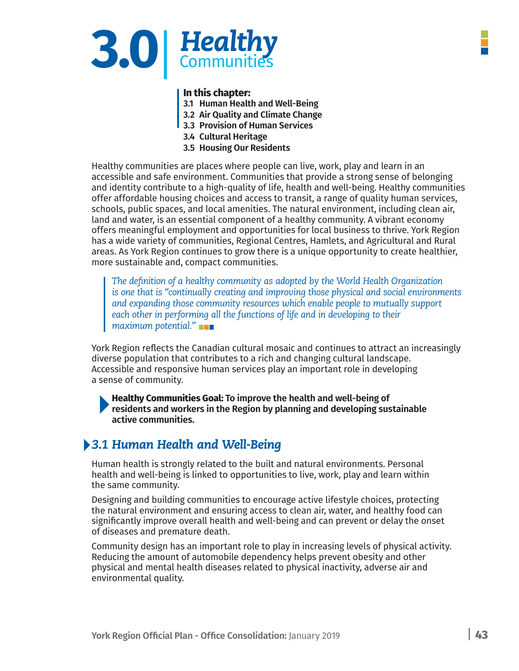

### **In this chapter:**

- **3.1 Human Health and Well-Being**
- **3.2 Air Quality and Climate Change**
- **3.3 Provision of Human Services**
- **3.4 Cultural Heritage**
- **3.5 Housing Our Residents**

Healthy communities are places where people can live, work, play and learn in an accessible and safe environment. Communities that provide a strong sense of belonging and identity contribute to a high-quality of life, health and well-being. Healthy communities offer affordable housing choices and access to transit, a range of quality human services, schools, public spaces, and local amenities. The natural environment, including clean air, land and water, is an essential component of a healthy community. A vibrant economy offers meaningful employment and opportunities for local business to thrive. York Region has a wide variety of communities, Regional Centres, Hamlets, and Agricultural and Rural areas. As York Region continues to grow there is a unique opportunity to create healthier, more sustainable and, compact communities.

*The definition of a healthy community as adopted by the World Health Organization is one that is "continually creating and improving those physical and social environments and expanding those community resources which enable people to mutually support*  each other in performing all the functions of life and in developing to their *maximum potential."*

York Region reflects the Canadian cultural mosaic and continues to attract an increasingly diverse population that contributes to a rich and changing cultural landscape. Accessible and responsive human services play an important role in developing a sense of community.

**Healthy Communities Goal: To improve the health and well-being of residents and workers in the Region by planning and developing sustainable active communities.**

# *3.1 Human Health and Well-Being*

Human health is strongly related to the built and natural environments. Personal health and well-being is linked to opportunities to live, work, play and learn within the same community.

Designing and building communities to encourage active lifestyle choices, protecting the natural environment and ensuring access to clean air, water, and healthy food can significantly improve overall health and well-being and can prevent or delay the onset of diseases and premature death.

Community design has an important role to play in increasing levels of physical activity. Reducing the amount of automobile dependency helps prevent obesity and other physical and mental health diseases related to physical inactivity, adverse air and environmental quality.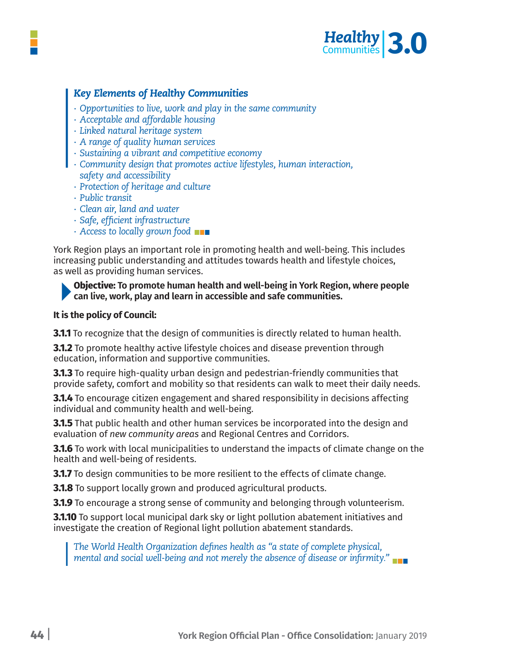

# *Key Elements of Healthy Communities*

- *∙ Opportunities to live, work and play in the same community*
- *∙ Acceptable and affordable housing*
- *∙ Linked natural heritage system*
- *∙ A range of quality human services*
- *∙ Sustaining a vibrant and competitive economy*
- *∙ Community design that promotes active lifestyles, human interaction, safety and accessibility*
	- *∙ Protection of heritage and culture*
	- *∙ Public transit*
	- *∙ Clean air, land and water*
	- *∙ Safe, efficient infrastructure*
	- *∙ Access to locally grown food*

York Region plays an important role in promoting health and well-being. This includes increasing public understanding and attitudes towards health and lifestyle choices, as well as providing human services.

**Objective: To promote human health and well-being in York Region, where people can live, work, play and learn in accessible and safe communities.**

#### **It is the policy of Council:**

**3.1.1** To recognize that the design of communities is directly related to human health.

**3.1.2** To promote healthy active lifestyle choices and disease prevention through education, information and supportive communities.

**3.1.3** To require high-quality urban design and pedestrian-friendly communities that provide safety, comfort and mobility so that residents can walk to meet their daily needs.

**3.1.4** To encourage citizen engagement and shared responsibility in decisions affecting individual and community health and well-being.

**3.1.5** That public health and other human services be incorporated into the design and evaluation of *new community areas* and Regional Centres and Corridors.

**3.1.6** To work with local municipalities to understand the impacts of climate change on the health and well-being of residents.

**3.1.7** To design communities to be more resilient to the effects of climate change.

**3.1.8** To support locally grown and produced agricultural products.

**3.1.9** To encourage a strong sense of community and belonging through volunteerism.

**3.1.10** To support local municipal dark sky or light pollution abatement initiatives and investigate the creation of Regional light pollution abatement standards.

*The World Health Organization defines health as "a state of complete physical, mental and social well-being and not merely the absence of disease or infirmity."*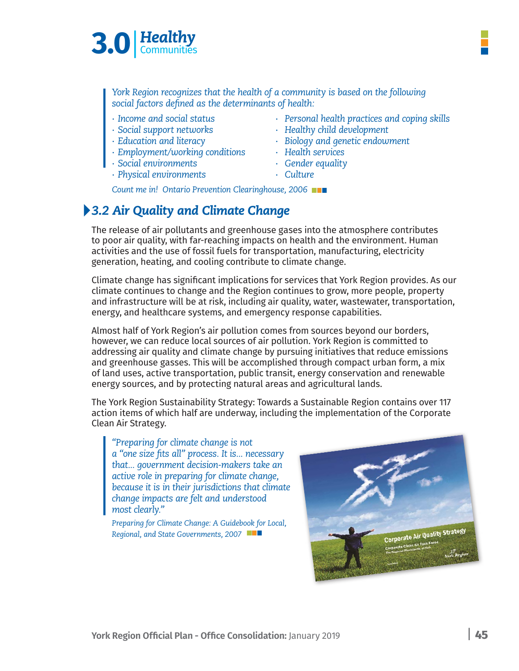

*York Region recognizes that the health of a community is based on the following social factors defined as the determinants of health:*

- 
- 
- 
- *∙ Employment/working conditions ∙ Health services*
- *∙ Social environments ∙ Gender equality*
- *∙ Physical environments ∙ Culture*
- *∙ Income and social status ∙ Personal health practices and coping skills*
- *∙ Social support networks ∙ Healthy child development*
- *∙ Education and literacy ∙ Biology and genetic endowment*
	-
	-
	-

*Count me in! Ontario Prevention Clearinghouse, 2006*

# *3.2 Air Quality and Climate Change*

The release of air pollutants and greenhouse gases into the atmosphere contributes to poor air quality, with far-reaching impacts on health and the environment. Human activities and the use of fossil fuels for transportation, manufacturing, electricity generation, heating, and cooling contribute to climate change.

Climate change has significant implications for services that York Region provides. As our climate continues to change and the Region continues to grow, more people, property and infrastructure will be at risk, including air quality, water, wastewater, transportation, energy, and healthcare systems, and emergency response capabilities.

Almost half of York Region's air pollution comes from sources beyond our borders, however, we can reduce local sources of air pollution. York Region is committed to addressing air quality and climate change by pursuing initiatives that reduce emissions and greenhouse gasses. This will be accomplished through compact urban form, a mix of land uses, active transportation, public transit, energy conservation and renewable energy sources, and by protecting natural areas and agricultural lands.

The York Region Sustainability Strategy: Towards a Sustainable Region contains over 117 action items of which half are underway, including the implementation of the Corporate Clean Air Strategy.

# *"Preparing for climate change is not*

*a "one size fits all" process. It is... necessary that... government decision-makers take an active role in preparing for climate change, because it is in their jurisdictions that climate change impacts are felt and understood most clearly."*

*Preparing for Climate Change: A Guidebook for Local, Regional, and State Governments, 2007*

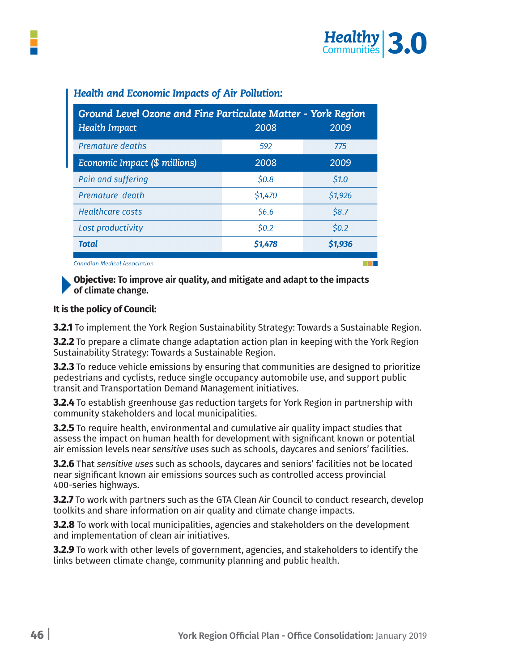

| Ground Level Ozone and Fine Particulate Matter - York Region                                                                                                                                                                  |         |         |
|-------------------------------------------------------------------------------------------------------------------------------------------------------------------------------------------------------------------------------|---------|---------|
| <b>Health Impact</b>                                                                                                                                                                                                          | 2008    | 2009    |
| <b>Premature deaths</b>                                                                                                                                                                                                       | 592     | 775     |
| Economic Impact (\$ millions)                                                                                                                                                                                                 | 2008    | 2009    |
| Pain and suffering                                                                                                                                                                                                            | \$0.8\$ | \$1.0   |
| Premature death                                                                                                                                                                                                               | \$1,470 | \$1,926 |
| <b>Healthcare costs</b>                                                                                                                                                                                                       | \$6.6   | \$8.7   |
| Lost productivity                                                                                                                                                                                                             | \$0.2\$ | \$0.2\$ |
| <b>Total</b>                                                                                                                                                                                                                  | \$1,478 | \$1,936 |
| and the second second second and second second second second second second second second second second second second second second second second second second second second second second second second second second second |         |         |

## *Health and Economic Impacts of Air Pollution:*

**Canadian Medical Association** 

**Objective: To improve air quality, and mitigate and adapt to the impacts of climate change.** 

#### **It is the policy of Council:**

**3.2.1** To implement the York Region Sustainability Strategy: Towards a Sustainable Region.

**3.2.2** To prepare a climate change adaptation action plan in keeping with the York Region Sustainability Strategy: Towards a Sustainable Region.

**3.2.3** To reduce vehicle emissions by ensuring that communities are designed to prioritize pedestrians and cyclists, reduce single occupancy automobile use, and support public transit and Transportation Demand Management initiatives.

**3.2.4** To establish greenhouse gas reduction targets for York Region in partnership with community stakeholders and local municipalities.

**3.2.5** To require health, environmental and cumulative air quality impact studies that assess the impact on human health for development with significant known or potential air emission levels near *sensitive uses* such as schools, daycares and seniors' facilities.

**3.2.6** That *sensitive uses* such as schools, daycares and seniors' facilities not be located near significant known air emissions sources such as controlled access provincial 400-series highways.

**3.2.7** To work with partners such as the GTA Clean Air Council to conduct research, develop toolkits and share information on air quality and climate change impacts.

**3.2.8** To work with local municipalities, agencies and stakeholders on the development and implementation of clean air initiatives.

**3.2.9** To work with other levels of government, agencies, and stakeholders to identify the links between climate change, community planning and public health.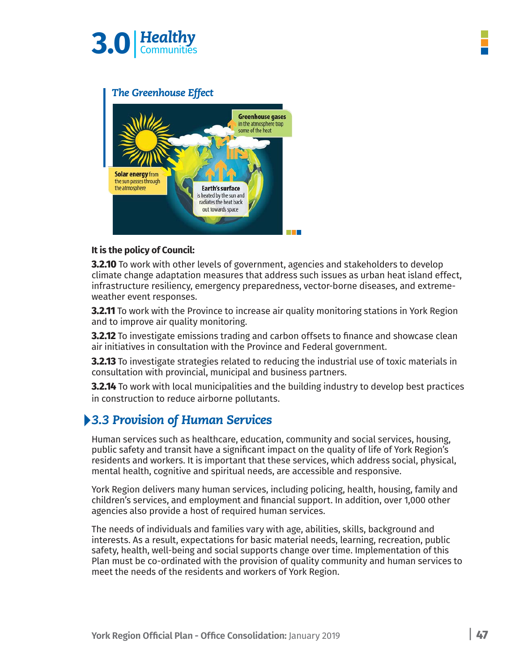



### **It is the policy of Council:**

**3.2.10** To work with other levels of government, agencies and stakeholders to develop climate change adaptation measures that address such issues as urban heat island effect, infrastructure resiliency, emergency preparedness, vector-borne diseases, and extremeweather event responses.

**3.2.11** To work with the Province to increase air quality monitoring stations in York Region and to improve air quality monitoring.

**3.2.12** To investigate emissions trading and carbon offsets to finance and showcase clean air initiatives in consultation with the Province and Federal government.

**3.2.13** To investigate strategies related to reducing the industrial use of toxic materials in consultation with provincial, municipal and business partners.

**3.2.14** To work with local municipalities and the building industry to develop best practices in construction to reduce airborne pollutants.

# *3.3 Provision of Human Services*

Human services such as healthcare, education, community and social services, housing, public safety and transit have a significant impact on the quality of life of York Region's residents and workers. It is important that these services, which address social, physical, mental health, cognitive and spiritual needs, are accessible and responsive.

York Region delivers many human services, including policing, health, housing, family and children's services, and employment and financial support. In addition, over 1,000 other agencies also provide a host of required human services.

The needs of individuals and families vary with age, abilities, skills, background and interests. As a result, expectations for basic material needs, learning, recreation, public safety, health, well-being and social supports change over time. Implementation of this Plan must be co-ordinated with the provision of quality community and human services to meet the needs of the residents and workers of York Region.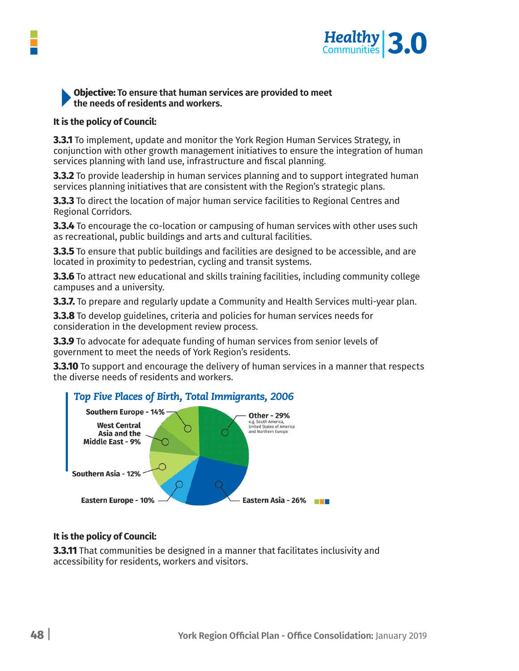

## **Objective: To ensure that human services are provided to meet the needs of residents and workers.**

#### **It is the policy of Council:**

**3.3.1** To implement, update and monitor the York Region Human Services Strategy, in conjunction with other growth management initiatives to ensure the integration of human services planning with land use, infrastructure and fiscal planning.

**3.3.2** To provide leadership in human services planning and to support integrated human services planning initiatives that are consistent with the Region's strategic plans.

**3.3.3** To direct the location of major human service facilities to Regional Centres and Regional Corridors.

**3.3.4** To encourage the co-location or campusing of human services with other uses such as recreational, public buildings and arts and cultural facilities.

**3.3.5** To ensure that public buildings and facilities are designed to be accessible, and are located in proximity to pedestrian, cycling and transit systems.

**3.3.6** To attract new educational and skills training facilities, including community college campuses and a university.

**3.3.7.** To prepare and regularly update a Community and Health Services multi-year plan.

**3.3.8** To develop guidelines, criteria and policies for human services needs for consideration in the development review process.

**3.3.9** To advocate for adequate funding of human services from senior levels of government to meet the needs of York Region's residents.

**3.3.10** To support and encourage the delivery of human services in a manner that respects the diverse needs of residents and workers.



## **It is the policy of Council:**

**3.3.11** That communities be designed in a manner that facilitates inclusivity and accessibility for residents, workers and visitors.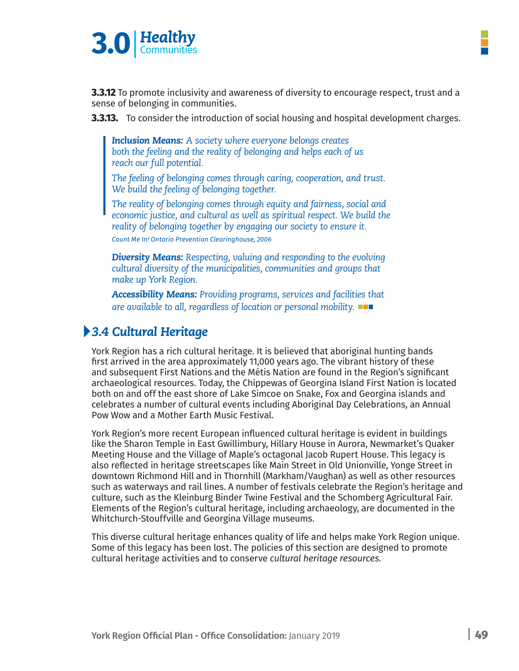

**3.3.12** To promote inclusivity and awareness of diversity to encourage respect, trust and a sense of belonging in communities.

**3.3.13.** To consider the introduction of social housing and hospital development charges.

*Inclusion Means: A society where everyone belongs creates both the feeling and the reality of belonging and helps each of us reach our full potential.* 

*The feeling of belonging comes through caring, cooperation, and trust. We build the feeling of belonging together.* 

*The reality of belonging comes through equity and fairness, social and economic justice, and cultural as well as spiritual respect. We build the reality of belonging together by engaging our society to ensure it. Count Me In! Ontario Prevention Clearinghouse, 2006*

*Diversity Means: Respecting, valuing and responding to the evolving cultural diversity of the municipalities, communities and groups that make up York Region.*

*Accessibility Means: Providing programs, services and facilities that are available to all, regardless of location or personal mobility.*

# *3.4 Cultural Heritage*

York Region has a rich cultural heritage. It is believed that aboriginal hunting bands first arrived in the area approximately 11,000 years ago. The vibrant history of these and subsequent First Nations and the Métis Nation are found in the Region's significant archaeological resources. Today, the Chippewas of Georgina Island First Nation is located both on and off the east shore of Lake Simcoe on Snake, Fox and Georgina islands and celebrates a number of cultural events including Aboriginal Day Celebrations, an Annual Pow Wow and a Mother Earth Music Festival.

York Region's more recent European influenced cultural heritage is evident in buildings like the Sharon Temple in East Gwillimbury, Hillary House in Aurora, Newmarket's Quaker Meeting House and the Village of Maple's octagonal Jacob Rupert House. This legacy is also reflected in heritage streetscapes like Main Street in Old Unionville, Yonge Street in downtown Richmond Hill and in Thornhill (Markham/Vaughan) as well as other resources such as waterways and rail lines. A number of festivals celebrate the Region's heritage and culture, such as the Kleinburg Binder Twine Festival and the Schomberg Agricultural Fair. Elements of the Region's cultural heritage, including archaeology, are documented in the Whitchurch-Stouffville and Georgina Village museums.

This diverse cultural heritage enhances quality of life and helps make York Region unique. Some of this legacy has been lost. The policies of this section are designed to promote cultural heritage activities and to conserve *cultural heritage resources.*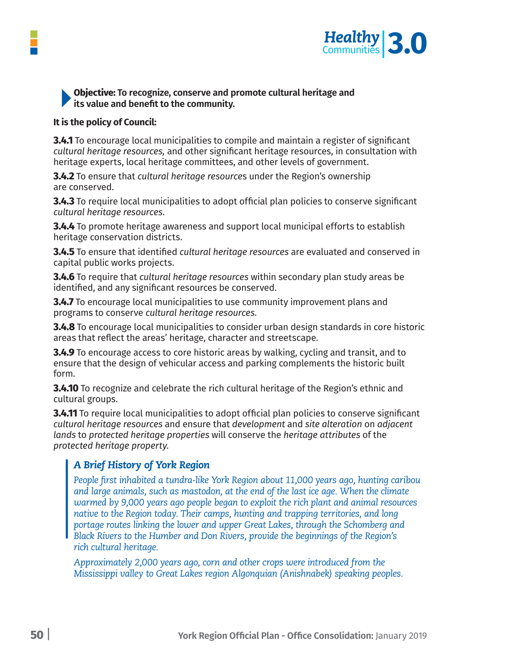

## **Objective: To recognize, conserve and promote cultural heritage and its value and benefit to the community.**

#### **It is the policy of Council:**

**3.4.1** To encourage local municipalities to compile and maintain a register of significant *cultural heritage resources,* and other significant heritage resources, in consultation with heritage experts, local heritage committees, and other levels of government.

**3.4.2** To ensure that *cultural heritage resource*s under the Region's ownership are conserved.

**3.4.3** To require local municipalities to adopt official plan policies to conserve significant *cultural heritage resources.*

**3.4.4** To promote heritage awareness and support local municipal efforts to establish heritage conservation districts.

**3.4.5** To ensure that identified *cultural heritage resources* are evaluated and conserved in capital public works projects.

**3.4.6** To require that *cultural heritage resources* within secondary plan study areas be identified, and any significant resources be conserved.

**3.4.7** To encourage local municipalities to use community improvement plans and programs to conserve *cultural heritage resources.*

**3.4.8** To encourage local municipalities to consider urban design standards in core historic areas that reflect the areas' heritage, character and streetscape.

**3.4.9** To encourage access to core historic areas by walking, cycling and transit, and to ensure that the design of vehicular access and parking complements the historic built form.

**3.4.10** To recognize and celebrate the rich cultural heritage of the Region's ethnic and cultural groups.

**3.4.11** To require local municipalities to adopt official plan policies to conserve significant *cultural heritage resources* and ensure that *development* and *site alteration* on *adjacent lands* to *protected heritage properties* will conserve the *heritage attributes* of the *protected heritage property.*

# *A Brief History of York Region*

*People first inhabited a tundra-like York Region about 11,000 years ago, hunting caribou and large animals, such as mastodon, at the end of the last ice age. When the climate warmed by 9,000 years ago people began to exploit the rich plant and animal resources native to the Region today. Their camps, hunting and trapping territories, and long portage routes linking the lower and upper Great Lakes, through the Schomberg and Black Rivers to the Humber and Don Rivers, provide the beginnings of the Region's rich cultural heritage.* 

*Approximately 2,000 years ago, corn and other crops were introduced from the Mississippi valley to Great Lakes region Algonquian (Anishnabek) speaking peoples.*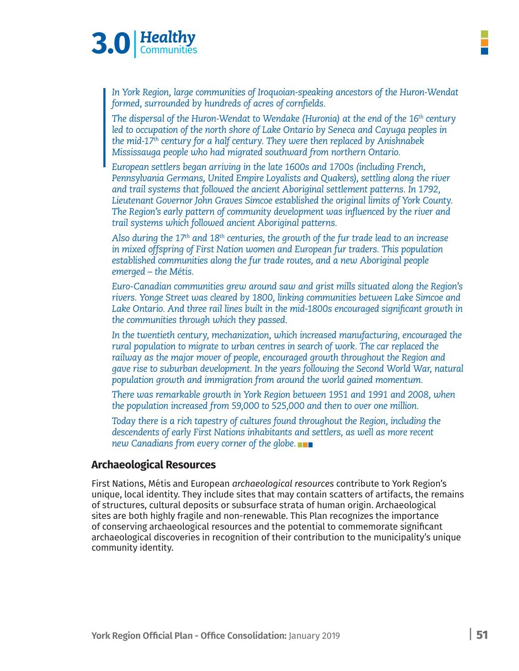

*In York Region, large communities of Iroquoian-speaking ancestors of the Huron-Wendat formed, surrounded by hundreds of acres of cornfields.* 

*The dispersal of the Huron-Wendat to Wendake (Huronia) at the end of the 16th century*  led to occupation of the north shore of Lake Ontario by Seneca and Cayuga peoples in *the mid-17th century for a half century. They were then replaced by Anishnabek Mississauga people who had migrated southward from northern Ontario.* 

*European settlers began arriving in the late 1600s and 1700s (including French, Pennsylvania Germans, United Empire Loyalists and Quakers), settling along the river and trail systems that followed the ancient Aboriginal settlement patterns. In 1792, Lieutenant Governor John Graves Simcoe established the original limits of York County. The Region's early pattern of community development was influenced by the river and trail systems which followed ancient Aboriginal patterns.*

*Also during the 17th and 18th centuries, the growth of the fur trade lead to an increase in mixed offspring of First Nation women and European fur traders. This population established communities along the fur trade routes, and a new Aboriginal people emerged – the Métis.*

*Euro-Canadian communities grew around saw and grist mills situated along the Region's rivers. Yonge Street was cleared by 1800, linking communities between Lake Simcoe and*  Lake Ontario. And three rail lines built in the mid-1800s encouraged significant growth in *the communities through which they passed.*

*In the twentieth century, mechanization, which increased manufacturing, encouraged the rural population to migrate to urban centres in search of work. The car replaced the railway as the major mover of people, encouraged growth throughout the Region and gave rise to suburban development. In the years following the Second World War, natural population growth and immigration from around the world gained momentum.*

*There was remarkable growth in York Region between 1951 and 1991 and 2008, when the population increased from 59,000 to 525,000 and then to over one million.*

*Today there is a rich tapestry of cultures found throughout the Region, including the descendents of early First Nations inhabitants and settlers, as well as more recent new Canadians from every corner of the globe.*

#### **Archaeological Resources**

First Nations, Métis and European *archaeological resources* contribute to York Region's unique, local identity. They include sites that may contain scatters of artifacts, the remains of structures, cultural deposits or subsurface strata of human origin. Archaeological sites are both highly fragile and non-renewable. This Plan recognizes the importance of conserving archaeological resources and the potential to commemorate significant archaeological discoveries in recognition of their contribution to the municipality's unique community identity.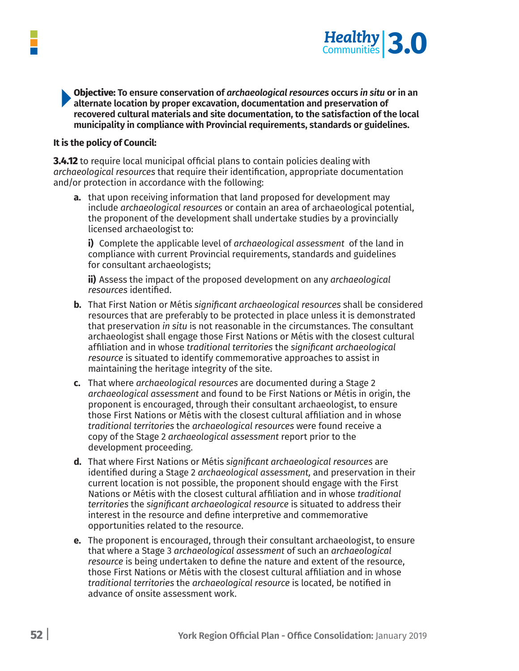

**Objective: To ensure conservation of** *archaeological resources* **occurs** *in situ* **or in an alternate location by proper excavation, documentation and preservation of recovered cultural materials and site documentation, to the satisfaction of the local municipality in compliance with Provincial requirements, standards or guidelines.**

#### **It is the policy of Council:**

**3.4.12** to require local municipal official plans to contain policies dealing with *archaeological resources* that require their identification, appropriate documentation and/or protection in accordance with the following:

**a.** that upon receiving information that land proposed for development may include *archaeological resources* or contain an area of archaeological potential, the proponent of the development shall undertake studies by a provincially licensed archaeologist to:

 **i)** Complete the applicable level of *archaeological assessment* of the land in compliance with current Provincial requirements, standards and guidelines for consultant archaeologists;

 **ii)** Assess the impact of the proposed development on any *archaeological resources* identified.

- **b.** That First Nation or Métis *significant archaeological resources* shall be considered resources that are preferably to be protected in place unless it is demonstrated that preservation *in situ* is not reasonable in the circumstances. The consultant archaeologist shall engage those First Nations or Métis with the closest cultural affiliation and in whose *traditional territories* the *significant archaeological resource* is situated to identify commemorative approaches to assist in maintaining the heritage integrity of the site.
- **c.** That where *archaeological resources* are documented during a Stage 2 *archaeological assessment* and found to be First Nations or Métis in origin, the proponent is encouraged, through their consultant archaeologist, to ensure those First Nations or Métis with the closest cultural affiliation and in whose *traditional territories* the *archaeological resources* were found receive a copy of the Stage 2 *archaeological assessment* report prior to the development proceeding.
- **d.** That where First Nations or Métis *significant archaeological resources* are identified during a Stage 2 *archaeological assessment,* and preservation in their current location is not possible, the proponent should engage with the First Nations or Métis with the closest cultural affiliation and in whose *traditional territories* the *significant archaeological resource* is situated to address their interest in the resource and define interpretive and commemorative opportunities related to the resource.
- **e.** The proponent is encouraged, through their consultant archaeologist, to ensure that where a Stage 3 *archaeological assessment* of such an *archaeological resource* is being undertaken to define the nature and extent of the resource, those First Nations or Métis with the closest cultural affiliation and in whose *traditional territories* the *archaeological resource* is located, be notified in advance of onsite assessment work.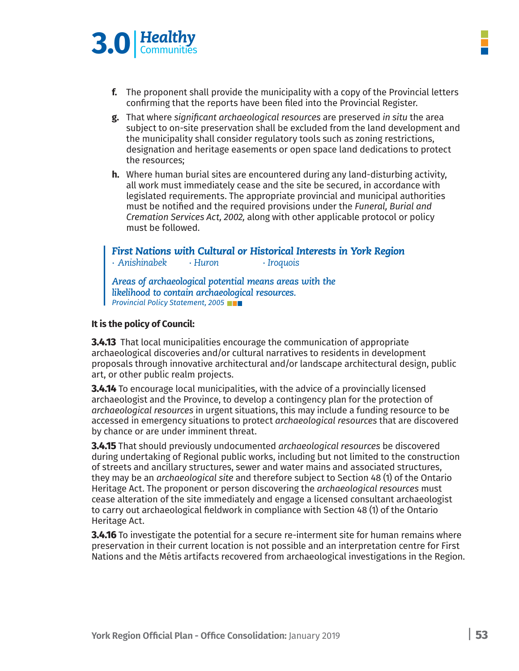

- **f.** The proponent shall provide the municipality with a copy of the Provincial letters confirming that the reports have been filed into the Provincial Register.
- g. That where significant archaeological resources are preserved in situ the area subject to on-site preservation shall be excluded from the land development and the municipality shall consider regulatory tools such as zoning restrictions, designation and heritage easements or open space land dedications to protect the resources:
- **h.** Where human burial sites are encountered during any land-disturbing activity, all work must immediately cease and the site be secured, in accordance with legislated requirements. The appropriate provincial and municipal authorities must be notified and the required provisions under the Funeral, Burial and Cremation Services Act, 2002, along with other applicable protocol or policy must be followed.

*First Nations with Cultural or Historical Interests in York Region ∙ Anishinabek ∙ Huron ∙ Iroquois Areas of archaeological potential means areas with the likelihood to contain archaeological resources. Provincial Policy Statement, 2005*

### **It is the policy of Council:**

**3.4.13** That local municipalities encourage the communication of appropriate archaeological discoveries and/or cultural narratives to residents in development proposals through innovative architectural and/or landscape architectural design, public art, or other public realm projects.

**3.4.14** To encourage local municipalities, with the advice of a provincially licensed archaeologist and the Province, to develop a contingency plan for the protection of *archaeological resources* in urgent situations, this may include a funding resource to be accessed in emergency situations to protect *archaeological resources* that are discovered by chance or are under imminent threat.

**3.4.15** That should previously undocumented *archaeological resources* be discovered during undertaking of Regional public works, including but not limited to the construction of streets and ancillary structures, sewer and water mains and associated structures, they may be an *archaeological site* and therefore subject to Section 48 (1) of the Ontario Heritage Act. The proponent or person discovering the *archaeological resources* must cease alteration of the site immediately and engage a licensed consultant archaeologist to carry out archaeological fieldwork in compliance with Section 48 (1) of the Ontario Heritage Act.

**3.4.16** To investigate the potential for a secure re-interment site for human remains where preservation in their current location is not possible and an interpretation centre for First Nations and the Métis artifacts recovered from archaeological investigations in the Region.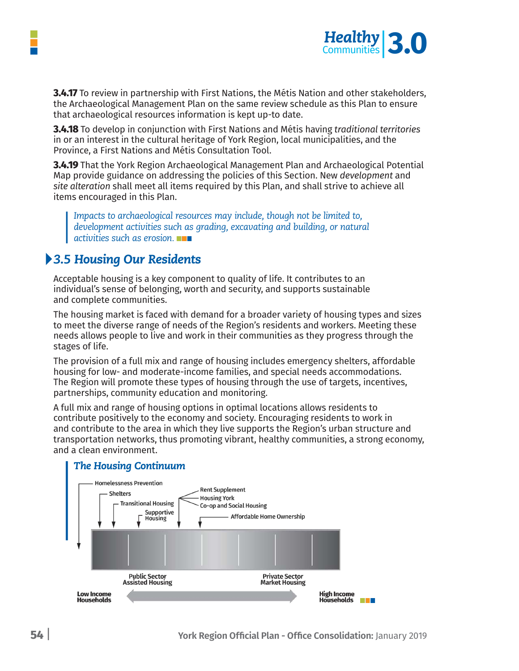

**3.4.17** To review in partnership with First Nations, the Métis Nation and other stakeholders, the Archaeological Management Plan on the same review schedule as this Plan to ensure that archaeological resources information is kept up-to date.

**3.4.18** To develop in conjunction with First Nations and Métis having *traditional territories* in or an interest in the cultural heritage of York Region, local municipalities, and the Province, a First Nations and Métis Consultation Tool.

**3.4.19** That the York Region Archaeological Management Plan and Archaeological Potential Map provide guidance on addressing the policies of this Section. New *development* and *site alteration* shall meet all items required by this Plan, and shall strive to achieve all items encouraged in this Plan.

*Impacts to archaeological resources may include, though not be limited to, development activities such as grading, excavating and building, or natural activities such as erosion.*

# *3.5 Housing Our Residents*

Acceptable housing is a key component to quality of life. It contributes to an individual's sense of belonging, worth and security, and supports sustainable and complete communities.

The housing market is faced with demand for a broader variety of housing types and sizes to meet the diverse range of needs of the Region's residents and workers. Meeting these needs allows people to live and work in their communities as they progress through the stages of life.

The provision of a full mix and range of housing includes emergency shelters, affordable housing for low- and moderate-income families, and special needs accommodations. The Region will promote these types of housing through the use of targets, incentives, partnerships, community education and monitoring.

A full mix and range of housing options in optimal locations allows residents to contribute positively to the economy and society. Encouraging residents to work in and contribute to the area in which they live supports the Region's urban structure and transportation networks, thus promoting vibrant, healthy communities, a strong economy, and a clean environment.

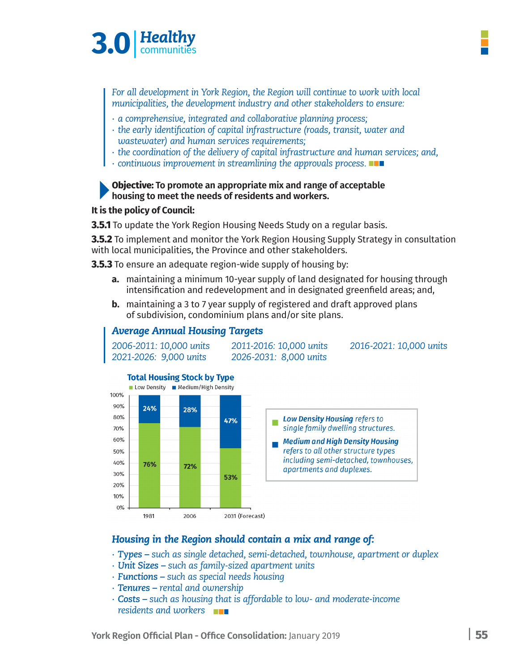

*For all development in York Region, the Region will continue to work with local municipalities, the development industry and other stakeholders to ensure:*

- *∙ a comprehensive, integrated and collaborative planning process;*
- *∙ the early identification of capital infrastructure (roads, transit, water and wastewater) and human services requirements;*
- *∙ the coordination of the delivery of capital infrastructure and human services; and,*
- *∙ continuous improvement in streamlining the approvals process.*

#### **Objective: To promote an appropriate mix and range of acceptable housing to meet the needs of residents and workers.**

#### **It is the policy of Council:**

**3.5.1** To update the York Region Housing Needs Study on a regular basis.

**3.5.2** To implement and monitor the York Region Housing Supply Strategy in consultation with local municipalities, the Province and other stakeholders.

**3.5.3** To ensure an adequate region-wide supply of housing by:

*Average Annual Housing Targets*

- **a.** maintaining a minimum 10-year supply of land designated for housing through intensification and redevelopment and in designated greenfield areas; and,
- **b.** maintaining a 3 to 7 year supply of registered and draft approved plans of subdivision, condominium plans and/or site plans.



## *Housing in the Region should contain a mix and range of:*

- *Types* such as single detached, semi-detached, townhouse, apartment or duplex
- · Unit Sizes such as family-sized apartment units
- · Functions such as special needs housing
- · Tenures rental and ownership
- Costs such as housing that is affordable to low- and moderate-income residents and workers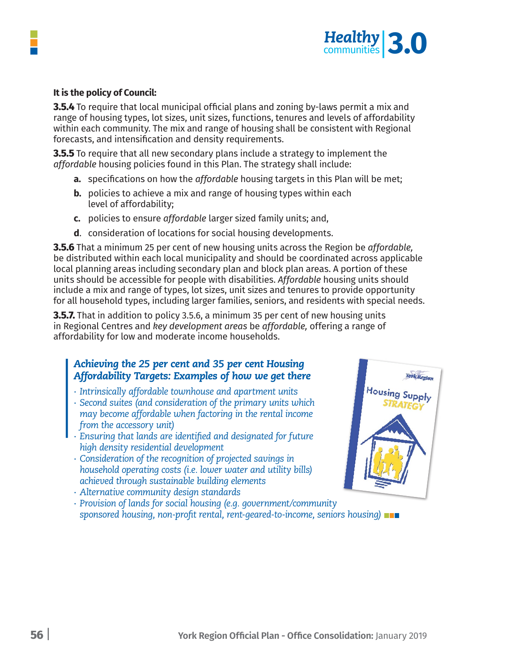

#### **It is the policy of Council:**

**3.5.4** To require that local municipal official plans and zoning by-laws permit a mix and range of housing types, lot sizes, unit sizes, functions, tenures and levels of affordability within each community. The mix and range of housing shall be consistent with Regional forecasts, and intensification and density requirements.

**3.5.5** To require that all new secondary plans include a strategy to implement the *affordable* housing policies found in this Plan. The strategy shall include:

- **a.** specifications on how the *affordable* housing targets in this Plan will be met;
- **b.** policies to achieve a mix and range of housing types within each level of affordability;
- **c.** policies to ensure *affordable* larger sized family units; and,
- **d**. consideration of locations for social housing developments.

**3.5.6** That a minimum 25 per cent of new housing units across the Region be *affordable,* be distributed within each local municipality and should be coordinated across applicable local planning areas including secondary plan and block plan areas. A portion of these units should be accessible for people with disabilities. *Affordable* housing units should include a mix and range of types, lot sizes, unit sizes and tenures to provide opportunity for all household types, including larger families, seniors, and residents with special needs.

**3.5.7.** That in addition to policy 3.5.6, a minimum 35 per cent of new housing units in Regional Centres and *key development areas* be *affordable,* offering a range of affordability for low and moderate income households.

# *Achieving the 25 per cent and 35 per cent Housing Affordability Targets: Examples of how we get there*

- *∙ Intrinsically affordable townhouse and apartment units*
- *∙ Second suites (and consideration of the primary units which may become affordable when factoring in the rental income from the accessory unit)*
- *∙ Ensuring that lands are identified and designated for future high density residential development*
- *∙ Consideration of the recognition of projected savings in household operating costs (i.e. lower water and utility bills) achieved through sustainable building elements*
- *∙ Alternative community design standards*
- *∙ Provision of lands for social housing (e.g. government/community sponsored housing, non-profit rental, rent-geared-to-income, seniors housing)*

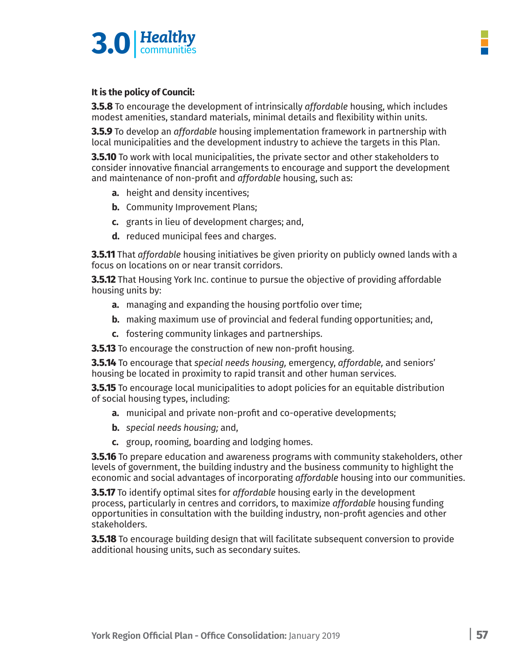

## **It is the policy of Council:**

**3.5.8** To encourage the development of intrinsically *affordable* housing, which includes modest amenities, standard materials, minimal details and flexibility within units.

**3.5.9** To develop an *affordable* housing implementation framework in partnership with local municipalities and the development industry to achieve the targets in this Plan.

**3.5.10** To work with local municipalities, the private sector and other stakeholders to consider innovative financial arrangements to encourage and support the development and maintenance of non-profit and *affordable* housing, such as:

- **a.** height and density incentives;
- **b.** Community Improvement Plans;
- **c.** grants in lieu of development charges; and,
- **d.** reduced municipal fees and charges.

**3.5.11** That *affordable* housing initiatives be given priority on publicly owned lands with a focus on locations on or near transit corridors.

**3.5.12** That Housing York Inc. continue to pursue the objective of providing affordable housing units by:

- **a.** managing and expanding the housing portfolio over time;
- **b.** making maximum use of provincial and federal funding opportunities; and,
- **c.** fostering community linkages and partnerships.

**3.5.13** To encourage the construction of new non-profit housing.

**3.5.14** To encourage that *special needs housing,* emergency, *affordable,* and seniors' housing be located in proximity to rapid transit and other human services.

**3.5.15** To encourage local municipalities to adopt policies for an equitable distribution of social housing types, including:

- **a.** municipal and private non-profit and co-operative developments;
- **b.** *special needs housing;* and,
- **c.** group, rooming, boarding and lodging homes.

**3.5.16** To prepare education and awareness programs with community stakeholders, other levels of government, the building industry and the business community to highlight the economic and social advantages of incorporating *affordable* housing into our communities.

**3.5.17** To identify optimal sites for *affordable* housing early in the development process, particularly in centres and corridors, to maximize *affordable* housing funding opportunities in consultation with the building industry, non-profit agencies and other stakeholders.

**3.5.18** To encourage building design that will facilitate subsequent conversion to provide additional housing units, such as secondary suites.